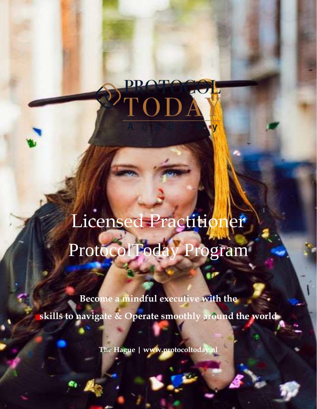

Licence Practice

# Licensed Practitioner ProtocolToday Program

**Become a mindful executive with the skills to navigate & Operate smoothly around the world**

**The Hague | www.protocoltoday.nl**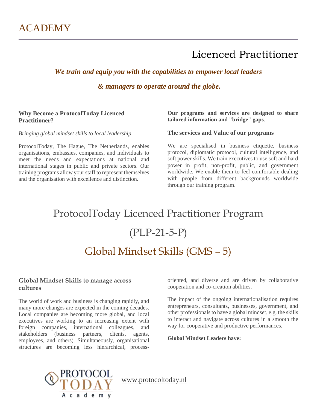*We train and equip you with the capabilities to empower local leaders*

*& managers to operate around the globe.*

### **Why Become a ProtocolToday Licenced Practitioner?**

*Bringing global mindset skills to local leadership*

ProtocolToday, The Hague, The Netherlands, enables organisations, embassies, companies, and individuals to meet the needs and expectations at national and international stages in public and private sectors. Our training programs allow your staff to represent themselves and the organisation with excellence and distinction.

### **Our programs and services are designed to share tailored information and "bridge" gaps**.

### **The services and Value of our programs**

We are specialised in business etiquette, business protocol, diplomatic protocol, cultural intelligence, and soft power skills. We train executives to use soft and hard power in profit, non-profit, public, and government worldwide. We enable them to feel comfortable dealing with people from different backgrounds worldwide through our training program.

# ProtocolToday Licenced Practitioner Program (PLP-21-5-P)

### Global Mindset Skills (GMS – 5)

### **Global Mindset Skills to manage across cultures**

The world of work and business is changing rapidly, and many more changes are expected in the coming decades. Local companies are becoming more global, and local executives are working to an increasing extent with foreign companies, international colleagues, and stakeholders (business partners, clients, agents, employees, and others). Simultaneously, organisational structures are becoming less hierarchical, process-

oriented, and diverse and are driven by collaborative cooperation and co-creation abilities.

The impact of the ongoing internationalisation requires entrepreneurs, consultants, businesses, government, and other professionals to have a global mindset, e.g. the skills to interact and navigate across cultures in a smooth the way for cooperative and productive performances.

#### **Global Mindset Leaders have:**

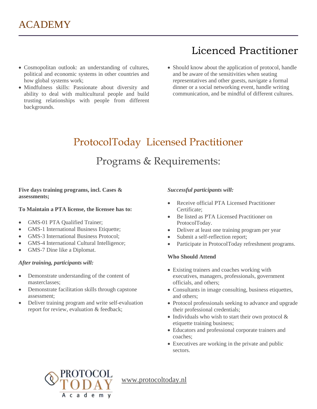- Cosmopolitan outlook: an understanding of cultures, political and economic systems in other countries and how global systems work;
- Mindfulness skills: Passionate about diversity and ability to deal with multicultural people and build trusting relationships with people from different backgrounds.
- Should know about the application of protocol, handle and be aware of the sensitivities when seating representatives and other guests, navigate a formal dinner or a social networking event, handle writing communication, and be mindful of different cultures.

# ProtocolToday Licensed Practitioner Programs & Requirements:

### **Five days training programs, incl. Cases & assessments;**

### **To Maintain a PTA license, the licensee has to:**

- GMS-01 PTA Qualified Trainer;
- GMS-1 International Business Etiquette;
- GMS-3 International Business Protocol;
- GMS-4 International Cultural Intelligence;
- GMS-7 Dine like a Diplomat.

### *After training, participants will:*

- Demonstrate understanding of the content of masterclasses;
- Demonstrate facilitation skills through capstone assessment;
- Deliver training program and write self-evaluation report for review, evaluation & feedback;

### *Successful participants will:*

- Receive official PTA Licensed Practitioner Certificate;
- Be listed as PTA Licensed Practitioner on ProtocolToday.
- Deliver at least one training program per year
- Submit a self-reflection report;
- Participate in ProtocolToday refreshment programs.

### **Who Should Attend**

- Existing trainers and coaches working with executives, managers, professionals, government officials, and others;
- Consultants in image consulting, business etiquettes, and others;
- Protocol professionals seeking to advance and upgrade their professional credentials;
- Individuals who wish to start their own protocol  $\&$ etiquette training business;
- Educators and professional corporate trainers and coaches;
- Executives are working in the private and public sectors.

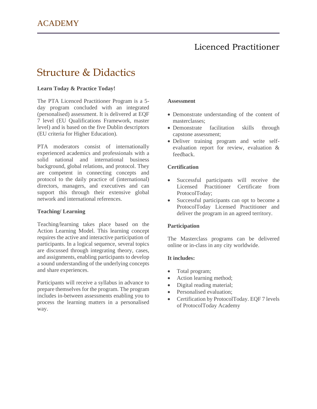### Structure & Didactics

### **Learn Today & Practice Today!**

The PTA Licenced Practitioner Program is a 5 day program concluded with an integrated (personalised) assessment. It is delivered at EQF 7 level (EU Qualifications Framework, master level) and is based on the five Dublin descriptors (EU criteria for Higher Education).

PTA moderators consist of internationally experienced academics and professionals with a solid national and international business background, global relations, and protocol. They are competent in connecting concepts and protocol to the daily practice of (international) directors, managers, and executives and can support this through their extensive global network and international references.

#### **Teaching/ Learning**

Teaching/learning takes place based on the Action Learning Model. This learning concept requires the active and interactive participation of participants. In a logical sequence, several topics are discussed through integrating theory, cases, and assignments, enabling participants to develop a sound understanding of the underlying concepts and share experiences.

Participants will receive a syllabus in advance to prepare themselves for the program. The program includes in-between assessments enabling you to process the learning matters in a personalised way.

#### **Assessment**

- Demonstrate understanding of the content of masterclasses;
- Demonstrate facilitation skills through capstone assessment;
- Deliver training program and write selfevaluation report for review, evaluation & feedback.

#### **Certification**

- Successful participants will receive the Licensed Practitioner Certificate from ProtocolToday;
- Successful participants can opt to become a ProtocolToday Licensed Practitioner and deliver the program in an agreed territory.

### **Participation**

The Masterclass programs can be delivered online or in-class in any city worldwide.

#### **It includes:**

- Total program;
- Action learning method;
- Digital reading material;
- Personalised evaluation;
- Certification by ProtocolToday. EQF 7 levels of ProtocolToday Academy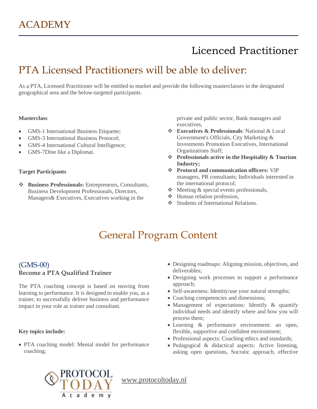### PTA Licensed Practitioners will be able to deliver:

As a PTA, Licensed Practitioner will be entitled to market and provide the following masterclasses in the designated geographical area and the below-targeted participants.

#### **Masterclass**

- GMS-1 International Business Etiquette;
- GMS-3 International Business Protocol;
- GMS-4 International Cultural Intelligence;
- GMS-7Dine like a Diplomat.

### **Target Participants**

❖ **Business Professionals:** Entrepreneurs, Consultants, Business Development Professionals, Directors, Managers& Executives, Executives working in the

private and public sector, Bank managers and executives,

- ❖ **Executives & Professionals**: National & Local Government's Officials, City Marketing & Investments Promotion Executives, International Organizations Staff;
- ❖ **Professionals active in the Hospitality & Tourism Industry;**
- ❖ **Protocol and communication officers:** VIP managers, PR consultants; Individuals interested in the international protocol;
- ❖ Meeting & special events professionals,
- ❖ Human relation profession,
- ❖ Students of International Relations.

### General Program Content

### (GMS-00) **Become a PTA Qualified Trainer**

The PTA coaching concept is based on moving from learning to performance. It is designed to enable you, as a trainer, to successfully deliver business and performance impact in your role as trainer and consultant.

### **Key topics include:**

• PTA coaching model: Mental model for performance coaching;

- Designing roadmaps: Aligning mission, objectives, and deliverables;
- Designing work processes to support a performance approach;
- Self-awareness: Identity/use your natural strengths;
- Coaching competencies and dimensions;
- Management of expectations: Identify & quantify individual needs and identify where and how you will process them;
- Learning & performance environment: an open, flexible, supportive and confident environment;
- Professional aspects: Coaching ethics and standards;
- Pedagogical & didactical aspects: Active listening, asking open questions, Socratic approach, effective

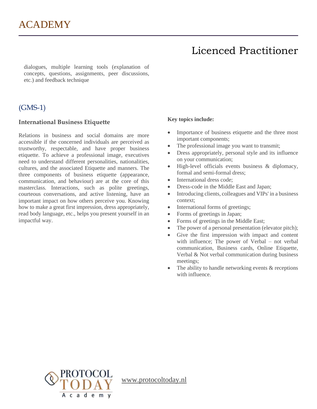dialogues, multiple learning tools (explanation of concepts, questions, assignments, peer discussions, etc.) and feedback technique

### (GMS-1)

### **International Business Etiquette**

Relations in business and social domains are more accessible if the concerned individuals are perceived as trustworthy, respectable, and have proper business etiquette. To achieve a professional image, executives need to understand different personalities, nationalities, cultures, and the associated Etiquette and manners. The three components of business etiquette (appearance, communication, and behaviour) are at the core of this masterclass. Interactions, such as polite greetings, courteous conversations, and active listening, have an important impact on how others perceive you. Knowing how to make a great first impression, dress appropriately, read body language, etc., helps you present yourself in an impactful way.

### **Key topics include:**

- Importance of business etiquette and the three most important components;
- The professional image you want to transmit;
- Dress appropriately, personal style and its influence on your communication;
- High-level officials events business & diplomacy, formal and semi-formal dress;
- International dress code:
- Dress-code in the Middle East and Japan;
- Introducing clients, colleagues and VIPs' in a business context;
- International forms of greetings;
- Forms of greetings in Japan;
- Forms of greetings in the Middle East;
- The power of a personal presentation (elevator pitch);
- Give the first impression with impact and content with influence; The power of Verbal – not verbal communication, Business cards, Online Etiquette, Verbal & Not verbal communication during business meetings;
- The ability to handle networking events  $&$  receptions with influence.

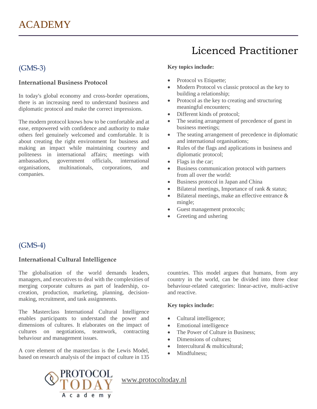### (GMS-3)

### **International Business Protocol**

In today's global economy and cross-border operations, there is an increasing need to understand business and diplomatic protocol and make the correct impressions.

The modern protocol knows how to be comfortable and at ease, empowered with confidence and authority to make others feel genuinely welcomed and comfortable. It is about creating the right environment for business and making an impact while maintaining courtesy and politeness in international affairs; meetings with ambassadors, government officials, international organisations, multinationals, corporations, and companies.

### **Key topics include:**

- Protocol vs Etiquette;
- Modern Protocol vs classic protocol as the key to building a relationship;
- Protocol as the key to creating and structuring meaningful encounters;
- Different kinds of protocol;
- The seating arrangement of precedence of guest in business meetings;
- The seating arrangement of precedence in diplomatic and international organisations;
- Rules of the flags and applications in business and diplomatic protocol;
- Flags in the car;
- Business communication protocol with partners from all over the world:
- Business protocol in Japan and China
- Bilateral meetings, Importance of rank & status;
- Bilateral meetings, make an effective entrance & mingle;
- Guest management protocols;
- Greeting and ushering

### (GMS-4)

### **International Cultural Intelligence**

The globalisation of the world demands leaders, managers, and executives to deal with the complexities of merging corporate cultures as part of leadership, cocreation, production, marketing, planning, decisionmaking, recruitment, and task assignments.

The Masterclass International Cultural Intelligence enables participants to understand the power and dimensions of cultures. It elaborates on the impact of cultures on negotiations, teamwork, contracting behaviour and management issues.

A core element of the masterclass is the Lewis Model, based on research analysis of the impact of culture in 135 countries. This model argues that humans, from any country in the world, can be divided into three clear behaviour-related categories: linear-active, multi-active and reactive.

### **Key topics include:**

- Cultural intelligence;
- Emotional intelligence
- The Power of Culture in Business;
- Dimensions of cultures:
- Intercultural & multicultural;
- Mindfulness:

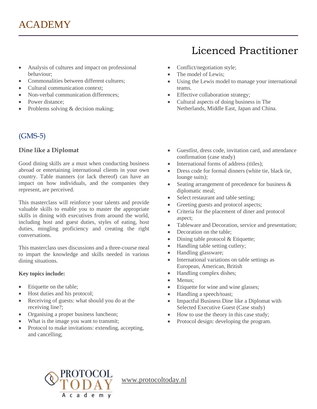- Analysis of cultures and impact on professional behaviour;
- Commonalities between different cultures:
- Cultural communication context;
- Non-verbal communication differences:
- Power distance;
- Problems solving & decision making;

### (GMS-5)

### **Dine like a Diplomat**

Good dining skills are a must when conducting business abroad or entertaining international clients in your own country. Table manners (or lack thereof) can have an impact on how individuals, and the companies they represent, are perceived.

This masterclass will reinforce your talents and provide valuable skills to enable you to master the appropriate skills in dining with executives from around the world, including host and guest duties, styles of eating, host duties, mingling proficiency and creating the right conversations.

This masterclass uses discussions and a three-course meal to impart the knowledge and skills needed in various dining situations.

### **Key topics include:**

- Etiquette on the table;
- Host duties and his protocol;
- Receiving of guests: what should you do at the receiving line?;
- Organising a proper business luncheon;
- What is the image you want to transmit;
- Protocol to make invitations: extending, accepting, and cancelling;

# Licenced Practitioner

- Conflict/negotiation style;
- The model of Lewis;
- Using the Lewis model to manage your international teams.
- Effective collaboration strategy;
- Cultural aspects of doing business in The Netherlands, Middle East, Japan and China.
- Guestlist, dress code, invitation card, and attendance confirmation (case study)
- International forms of address (titles);
- Dress code for formal dinners (white tie, black tie, lounge suits);
- Seating arrangement of precedence for business  $\&$ diplomatic meal;
- Select restaurant and table setting;
- Greeting guests and protocol aspects;
- Criteria for the placement of diner and protocol aspect;
- Tableware and Decoration, service and presentation;
- Decoration on the table:
- Dining table protocol & Etiquette;
- Handling table setting cutlery;
- Handling glassware;
- International variations on table settings as European, American, British
- Handling complex dishes;
- Menus;
- Etiquette for wine and wine glasses;
- Handling a speech/toast;
- Impactful Business Dine like a Diplomat with Selected Executive Guest (Case study)
- How to use the theory in this case study;
- Protocol design: developing the program.